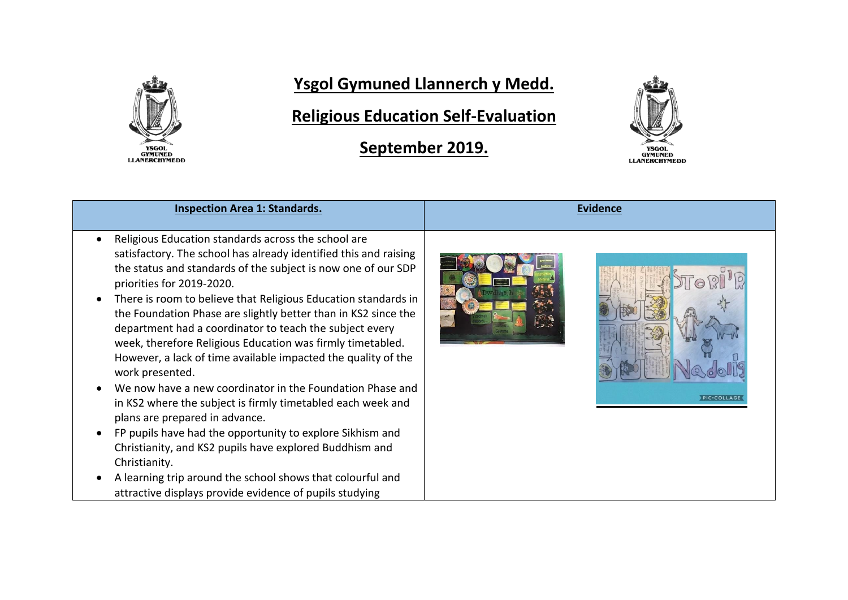

## **Ysgol Gymuned Llannerch y Medd.**

**Religious Education Self-Evaluation**

**September 2019.**



| <b>Inspection Area 1: Standards.</b>                                                                                                                                                                                                                                                                                                                                                                                                                                                                                                                | <b>Evidence</b>     |
|-----------------------------------------------------------------------------------------------------------------------------------------------------------------------------------------------------------------------------------------------------------------------------------------------------------------------------------------------------------------------------------------------------------------------------------------------------------------------------------------------------------------------------------------------------|---------------------|
|                                                                                                                                                                                                                                                                                                                                                                                                                                                                                                                                                     |                     |
| Religious Education standards across the school are<br>satisfactory. The school has already identified this and raising<br>the status and standards of the subject is now one of our SDP<br>priorities for 2019-2020.<br>There is room to believe that Religious Education standards in<br>the Foundation Phase are slightly better than in KS2 since the<br>department had a coordinator to teach the subject every<br>week, therefore Religious Education was firmly timetabled.<br>However, a lack of time available impacted the quality of the |                     |
| work presented.<br>We now have a new coordinator in the Foundation Phase and                                                                                                                                                                                                                                                                                                                                                                                                                                                                        | <b>PIC</b> ·COLLAGE |
| in KS2 where the subject is firmly timetabled each week and<br>plans are prepared in advance.                                                                                                                                                                                                                                                                                                                                                                                                                                                       |                     |
| FP pupils have had the opportunity to explore Sikhism and<br>Christianity, and KS2 pupils have explored Buddhism and<br>Christianity.                                                                                                                                                                                                                                                                                                                                                                                                               |                     |
| A learning trip around the school shows that colourful and<br>attractive displays provide evidence of pupils studying                                                                                                                                                                                                                                                                                                                                                                                                                               |                     |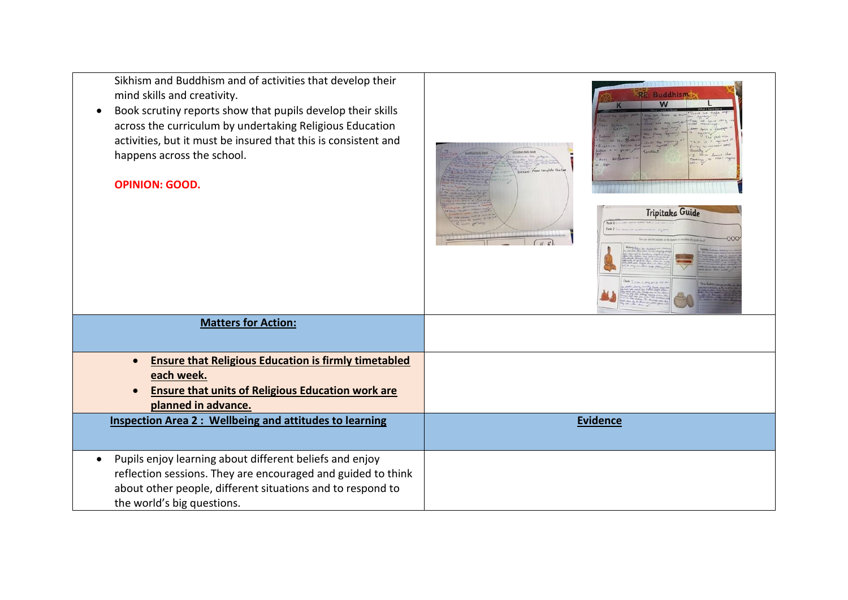Sikhism and Buddhism and of activities that develop their mind skills and creativity.

 Book scrutiny reports show that pupils develop their skills across the curriculum by undertaking Religious Education activities, but it must be insured that this is consistent and happens across the school.

## **OPINION: GOOD.**





**Buddhis** 

| <b>Matters for Action:</b>                                    |                 |
|---------------------------------------------------------------|-----------------|
|                                                               |                 |
| <b>Ensure that Religious Education is firmly timetabled</b>   |                 |
| each week.                                                    |                 |
| <b>Ensure that units of Religious Education work are</b>      |                 |
| planned in advance.                                           |                 |
| <b>Inspection Area 2: Wellbeing and attitudes to learning</b> | <b>Evidence</b> |
|                                                               |                 |
|                                                               |                 |
| Pupils enjoy learning about different beliefs and enjoy       |                 |
| reflection sessions. They are encouraged and guided to think  |                 |
| about other people, different situations and to respond to    |                 |
|                                                               |                 |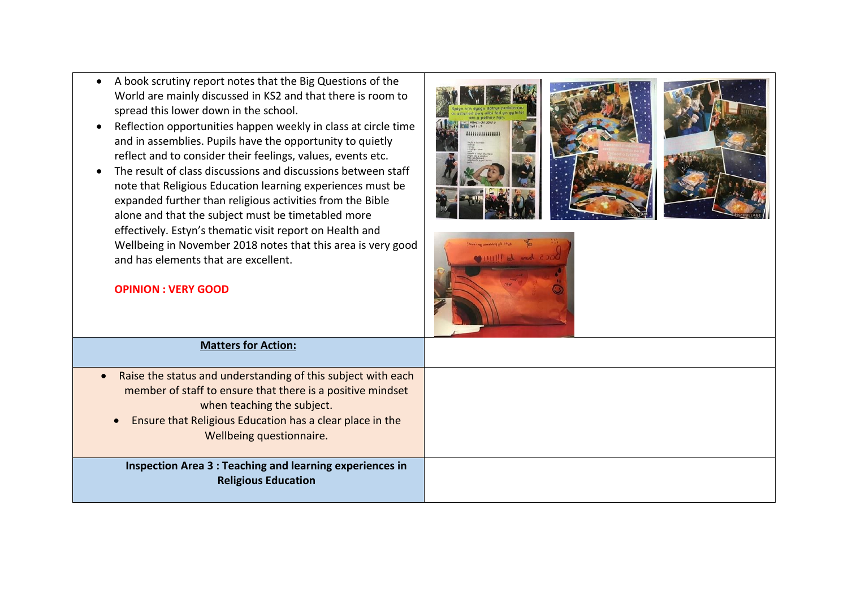- A book scrutiny report notes that the Big Questions of the World are mainly discussed in KS2 and that there is room to spread this lower down in the school.
- Reflection opportunities happen weekly in class at circle time and in assemblies. Pupils have the opportunity to quietly reflect and to consider their feelings, values, events etc.
- The result of class discussions and discussions between staff note that Religious Education learning experiences must be expanded further than religious activities from the Bible alone and that the subject must be timetabled more effectively. Estyn's thematic visit report on Health and Wellbeing in November 2018 notes that this area is very good and has elements that are excellent.









| <b>Matters for Action:</b>                                                                                                                                                                                                                                    |  |
|---------------------------------------------------------------------------------------------------------------------------------------------------------------------------------------------------------------------------------------------------------------|--|
| Raise the status and understanding of this subject with each<br>member of staff to ensure that there is a positive mindset<br>when teaching the subject.<br>Ensure that Religious Education has a clear place in the<br>$\bullet$<br>Wellbeing questionnaire. |  |
| Inspection Area 3 : Teaching and learning experiences in<br><b>Religious Education</b>                                                                                                                                                                        |  |

## **OPINION : VERY GOOD**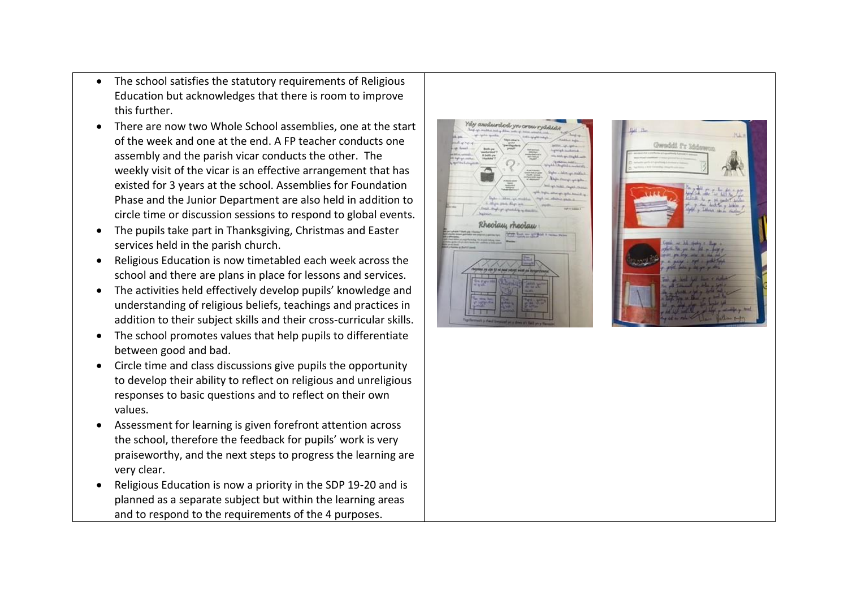- The school satisfies the statutory requirements of Religious Education but acknowledges that there is room to improve this further.
- There are now two Whole School assemblies, one at the start of the week and one at the end. A FP teacher conducts one assembly and the parish vicar conducts the other. The weekly visit of the vicar is an effective arrangement that has existed for 3 years at the school. Assemblies for Foundation Phase and the Junior Department are also held in addition to circle time or discussion sessions to respond to global events.
- The pupils take part in Thanksgiving, Christmas and Easter services held in the parish church.
- Religious Education is now timetabled each week across the school and there are plans in place for lessons and services.
- The activities held effectively develop pupils' knowledge and understanding of religious beliefs, teachings and practices in addition to their subject skills and their cross-curricular skills.
- The school promotes values that help pupils to differentiate between good and bad.
- Circle time and class discussions give pupils the opportunity to develop their ability to reflect on religious and unreligious responses to basic questions and to reflect on their own values.
- Assessment for learning is given forefront attention across the school, therefore the feedback for pupils' work is very praiseworthy, and the next steps to progress the learning are very clear.
- Religious Education is now a priority in the SDP 19-20 and is planned as a separate subject but within the learning areas and to respond to the requirements of the 4 purposes.



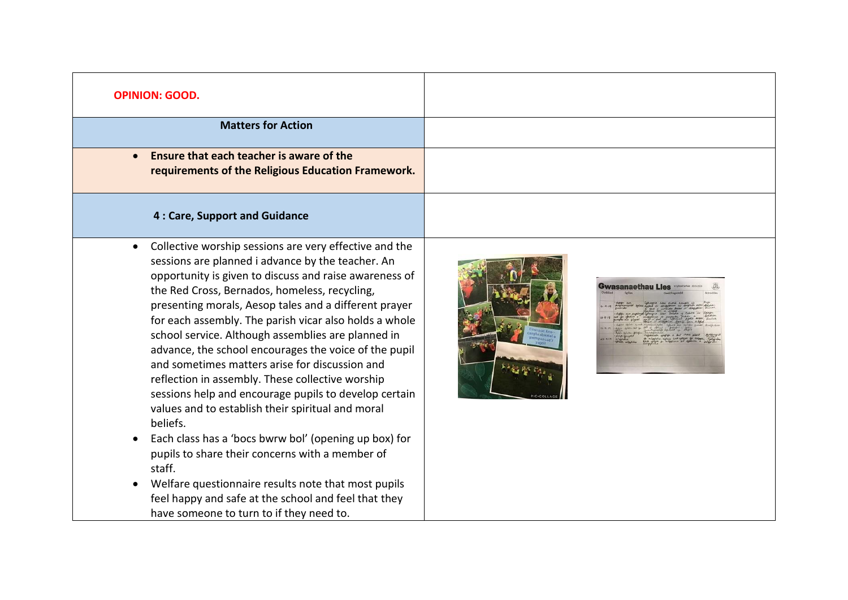| <b>OPINION: GOOD.</b>                                                                                                                                                                                                                                                                                                                                                                                                                                                                                                                                                                                                                                                                                                                                                                                                                                                                                                                                                     |
|---------------------------------------------------------------------------------------------------------------------------------------------------------------------------------------------------------------------------------------------------------------------------------------------------------------------------------------------------------------------------------------------------------------------------------------------------------------------------------------------------------------------------------------------------------------------------------------------------------------------------------------------------------------------------------------------------------------------------------------------------------------------------------------------------------------------------------------------------------------------------------------------------------------------------------------------------------------------------|
| <b>Matters for Action</b>                                                                                                                                                                                                                                                                                                                                                                                                                                                                                                                                                                                                                                                                                                                                                                                                                                                                                                                                                 |
| Ensure that each teacher is aware of the<br>requirements of the Religious Education Framework.                                                                                                                                                                                                                                                                                                                                                                                                                                                                                                                                                                                                                                                                                                                                                                                                                                                                            |
| 4 : Care, Support and Guidance                                                                                                                                                                                                                                                                                                                                                                                                                                                                                                                                                                                                                                                                                                                                                                                                                                                                                                                                            |
| Collective worship sessions are very effective and the<br>sessions are planned i advance by the teacher. An<br>opportunity is given to discuss and raise awareness of<br>the Red Cross, Bernados, homeless, recycling,<br>presenting morals, Aesop tales and a different prayer<br>for each assembly. The parish vicar also holds a whole<br>school service. Although assemblies are planned in<br>advance, the school encourages the voice of the pupil<br>and sometimes matters arise for discussion and<br>reflection in assembly. These collective worship<br>sessions help and encourage pupils to develop certain<br>values and to establish their spiritual and moral<br>beliefs.<br>Each class has a 'bocs bwrw bol' (opening up box) for<br>pupils to share their concerns with a member of<br>staff.<br>Welfare questionnaire results note that most pupils<br>feel happy and safe at the school and feel that they<br>have someone to turn to if they need to. |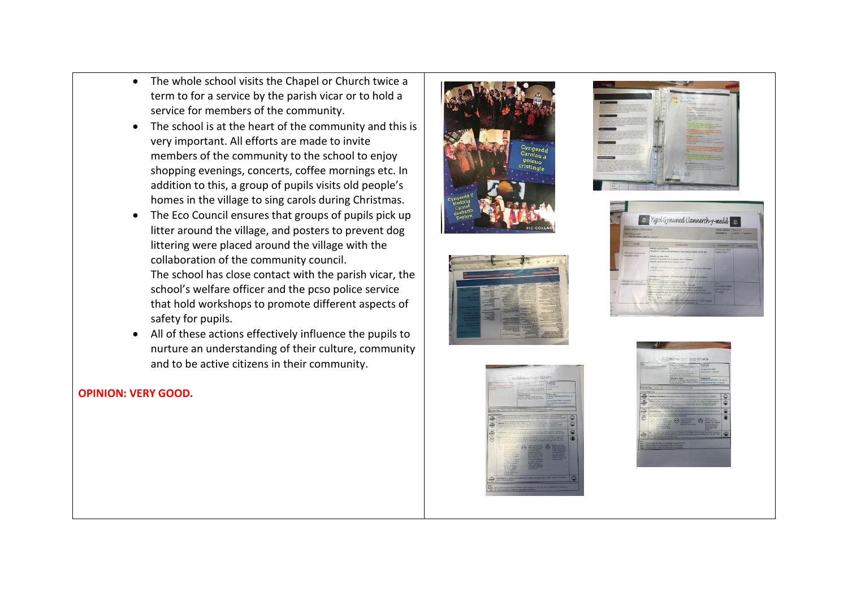- The whole school visits the Chapel or Church twice a term to for a service by the parish vicar or to hold a service for members of the community.
- The school is at the heart of the community and this is very important. All efforts are made to invite members of the community to the school to enjoy shopping evenings, concerts, coffee mornings etc. In addition to this, a group of pupils visits old people's homes in the village to sing carols during Christmas.
- The Eco Council ensures that groups of pupils pick up litter around the village, and posters to prevent dog littering were placed around the village with the collaboration of the community council. The school has close contact with the parish vicar, the school's welfare officer and the pcso police service that hold workshops to promote different aspects of safety for pupils.
- All of these actions effectively influence the pupils to nurture an understanding of their culture, community and to be active citizens in their community.

## **OPINION: VERY GOOD.**